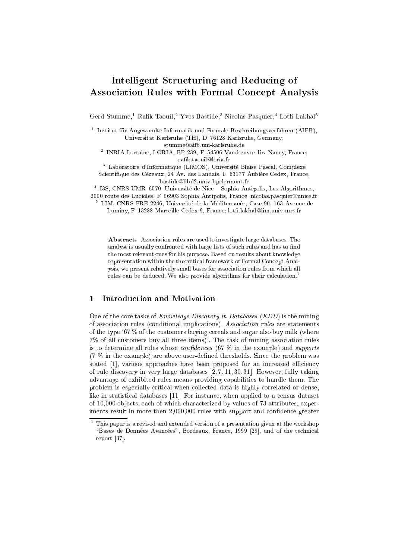# Intelligent Structuring and Reducing of Asso
iation Rules with Formal Con
ept Analysis

Gerd Stumme, Kaiik Taouil, Yves Dastide, Nicolas Pasquier, Lotif Lakhal

t Institut für Angewandte Informatik und Formale Beschreibungsverfahren (AIFB), Universität Karlsruhe (TH), D-76128 Karlsruhe, Germany;

stummeaifb.uni-karlsruhe.de

<sup>2</sup> INRIA Lorraine, LORIA, BP 239, F{54506 Vanduvre{les{Nan
y, Fran
e; rafik.taouil@loria.fr

<sup>3</sup> Laboratoire d'Informatique (LIMOS), Universite Blaise Pas
al, Complexe

Scientifique des Cézeaux, 24 Av. des Landais, F-63177 Aubière Cedex, France; bastidelibd2.univ-bp
lermont.fr

<sup>4</sup> I3S, CNRS UMR{6070, Universite de Ni
e { Sophia Antipolis, Les Algorithmes, 2000 route des Lucioles, F-06903 Sophia Antipolis, France; nicolas.pasquier@unice.fr

<sup>5</sup> LIM, CNRS FRE-2246, Universite de la Mediterranee, Case 90, 163 Avenue de Luminy, F-13288 Marseille Cedex 9, France; lotfi.lakhal@lim.univ-mrs.fr

Abstract. Association rules are used to investigate large databases. The analyst is usually confronted with large lists of such rules and has to find the most relevant ones for his purpose. Based on results about knowledge representation within the theoreti
al framework of Formal Con
ept Analysis, we present relatively small bases for asso
iation rules from whi
h all rules can be deduced. We also provide algorithms for their calculation.<sup>1</sup>

#### Introduction and Motivation  $\mathbf{1}$

One of the core tasks of *Knowledge Discovery in Databases* (*KDD*) is the mining of asso
iation rules (
onditional impli
ations). Asso
iation rules are statements of the type  $67\%$  of the customers buying cereals and sugar also buy milk (where 7% of all ustomers buy all three items)'. The task of mining asso
iation rules is to determine all rules whose *confidences*  $(67\%$  in the example) and *supports*  $(7\%$  in the example) are above user-defined thresholds. Since the problem was stated [1], various approaches have been proposed for an increased efficiency of rule discovery in very large databases  $[2, 7, 11, 30, 31]$ . However, fully taking advantage of exhibited rules means providing capabilities to handle them. The problem is especially critical when collected data is highly correlated or dense, like in statistical databases [11]. For instance, when applied to a census dataset of 10,000 objects, each of which characterized by values of 73 attributes, experiments result in more then 2,000,000 rules with support and confidence greater

This paper is a revised and extended version of a presentation given at the workshop  $\overline{\phantom{a}}$ "Bases de Données Avancées", Bordeaux, France, 1999 [29], and of the technical report [37].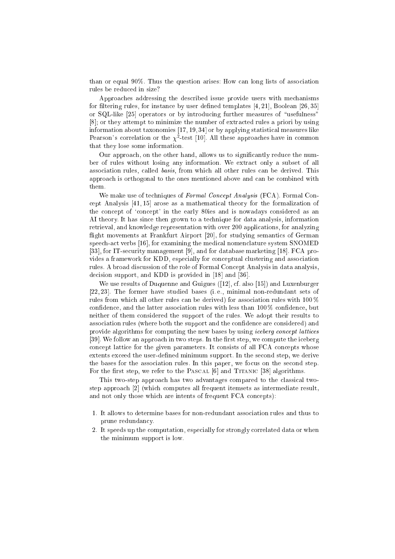than or equal 90%. Thus the question arises: How an long lists of asso
iation rules be redu
ed in size?

Approa
hes addressing the des
ribed issue provide users with me
hanisms for filtering rules, for instance by user defined templates  $[4, 21]$ , Boolean  $[26, 35]$ or SQL-like [25] operators or by introducing further measures of "usefulness"  $[8]$ ; or they attempt to minimize the number of extracted rules a priori by using information about taxonomies  $[17, 19, 34]$  or by applying statistical measures like Pearson's correlation or the  $\chi^2$ -test [10]. All these approaches have in common that they lose some information.

Our approach, on the other hand, allows us to significantly reduce the number of rules without losing any information. We extract only a subset of all asso
iation rules, alled basis, from whi
h all other rules an be derived. This approa
h is orthogonal to the ones mentioned above and an be ombined with them.

We make use of techniques of Formal Concept Analysis (FCA). Formal Concept Analysis  $[41, 15]$  arose as a mathematical theory for the formalization of the concept of 'concept' in the early 80ies and is nowadays considered as an AI theory. It has sin
e then grown to a te
hnique for data analysis, information retrieval, and knowledge representation with over 200 appli
ations, for analyzing flight movements at Frankfurt Airport [20], for studying semantics of German speech-act verbs [16], for examining the medical nomenclature system SNOMED [33], for IT-security management [9], and for database marketing [18]. FCA provides a framework for KDD, especially for conceptual clustering and association rules. A broad discussion of the role of Formal Concept Analysis in data analysis, decision support, and KDD is provided in [18] and [36].

We use results of Duquenne and Guigues  $(12]$ , cf. also  $[15]$ ) and Luxenburger [22, 23]. The former have studied bases (i. e., minimal non-redundant sets of rules from which all other rules can be derived) for association rules with 100 % confidence, and the latter association rules with less than 100% confidence, but neither of them onsidered the support of the rules. We adopt their results to association rules (where both the support and the confidence are considered) and provide algorithms for computing the new bases by using *iceberg concept lattices* [39]. We follow an approach in two steps. In the first step, we compute the iceberg concept lattice for the given parameters. It consists of all FCA concepts whose extents exceed the user-defined minimum support. In the second step, we derive the bases for the association rules. In this paper, we focus on the second step. For the first step, we refer to the PASCAL  $[6]$  and TITANIC  $[38]$  algorithms.

This two-step approach has two advantages compared to the classical twostep approach [2] (which computes all frequent itemsets as intermediate result, and not only those which are intents of frequent FCA concepts):

- 1. It allows to determine bases for non-redundant asso
iation rules and thus to prune redundan
y.
- 2. It speeds up the omputation, espe
ially for strongly orrelated data or when the minimum support is low.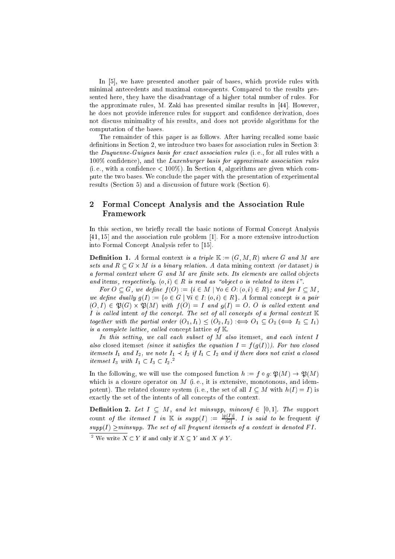In  $[5]$ , we have presented another pair of bases, which provide rules with minimal ante
edents and maximal onsequents. Compared to the results presented here, they have the disadvantage of a higher total number of rules. For the approximate rules, M. Zaki has presented similar results in [44]. However, he does not provide inference rules for support and confidence derivation, does not dis
uss minimality of his results, and does not provide algorithms for the omputation of the bases.

The remainder of this paper is as follows. After having recalled some basic definitions in Section 2, we introduce two bases for association rules in Section 3: the *Duquenne-Guigues basis for exact association rules* (i.e., for all rules with a 100% confidence), and the Luxenburger basis for approximate association rules  $(i.e., with a confidence < 100\%)$ . In Section 4, algorithms are given which compute the two bases. We on
lude the paper with the presentation of experimental results (Section 5) and a discussion of future work (Section 6).

# 2 Formal Concept Analysis and the Association Rule Framework

In this section, we briefly recall the basic notions of Formal Concept Analysis  $[41, 15]$  and the association rule problem  $[1]$ . For a more extensive introduction into Formal Concept Analysis refer to [15].

**Definition 1.** A formal context is a triple  $\mathbb{K} := (G, M, R)$  where G and M are sets and R  $\alpha$  binary relation. A data mining is a binary relation. A data mining is a data mining of  $\alpha$ a formal context where G and M are finite sets. Its elements are called objects and items, respectively.  $(o, i) \in R$  is read as "object o is related to item i".

For  $O \subseteq G$ , we define  $f(O) := \{i \in M \mid \forall o \in O : (o, i) \in R\}$ ; and for  $I \subseteq M$ , we define dually  $g(I) := \{o \in G \mid \forall i \in I : (o, i) \in R\}$ . A formal concept is a pair  $\mathcal{L}=\{C_1,\ldots,C_n\}$  . The function of  $\mathcal{L}=\{C_1,\ldots,C_n\}$  , we can consider an order  $\mathcal{L}=\{C_1,\ldots,C_n\}$ I is called intent of the concept. The set of all concepts of a formal context  $K$ together with the partial order  $(O_1, I_1) \leq (O_2, I_2) \iff O_1 \subseteq O_2 \iff I_2 \subseteq I_1$ is a complete lattice, called concept lattice of  $K$ 

In this setting, we call each subset of M also itemset, and each intent I also closed itemset (since it satisfies the equation  $I = f(g(I))$ ). For two closed itemsets I1 and I2, we note I1 I2 if I1 I2 and if there does not exist <sup>a</sup> losed  $u$ emset I3 with  $I_1 \subseteq I_3 \subseteq I_2$ .

In the following, we will use the composed function  $h := f \circ g: \mathfrak{P}(M) \to \mathfrak{P}(M)$ which is a closure operator on  $M$  (i.e., it is extensive, monotonous, and idempotent). The related closure system (i.e., the set of all  $I \subseteq M$  with  $h(I) = I$ ) is exactly the set of the intents of all concepts of the context.

Denition 2. Let I M, and let minsupp, min
onf <sup>2</sup> [0; 1℄. The support count *of the itemset I in*  $\mathbb{K}$  *is supp* $(I) := \frac{P(G)}{|G|}$ . *I is said to be* frequent *if* supp(I ) minsupp. The set of al l frequent itemsets of a ontext is denoted F I .

 $\top$  we write  $\Lambda \subset Y$  if and only if  $\Lambda \subset Y$  and  $\Lambda \neq Y$  .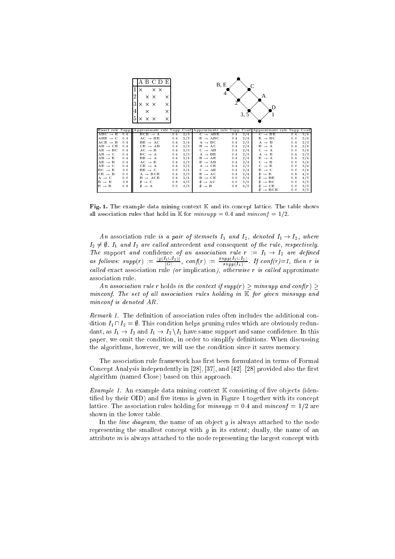| Exact rule Supp Approximate rule Supp Conf Approximate rule Supp Conf Approximate rule Supp<br>Conf<br>$ABC \rightarrow E$<br>$BCE \rightarrow A$<br>2/3<br>$C \rightarrow ABE$<br>$^{2/4}$<br>$C \rightarrow BE$<br>3/4<br>0.4<br>0.4<br>0.4<br>0.4<br>2/4<br>2/3<br>0.4<br>$AC \rightarrow BE$<br>$E \rightarrow ABC$<br>$E \rightarrow BC$<br>3/4<br>0.4<br>0.6<br>0.4<br>2/3<br>2/4<br>2/3<br>0.4<br>$BE \rightarrow AC$<br>$A \rightarrow BC$<br>$A \rightarrow B$<br>0.4<br>0.4<br>0.4<br>2/4<br>$AB \rightarrow CE$<br>0.4<br>$CE \rightarrow AB$<br>2/3<br>$B \rightarrow AC$<br>0.4<br>$B \rightarrow A$<br>2/4<br>0.4<br>0.4<br>0.4<br>2/3<br>2/4<br>$AE \rightarrow BC$<br>$AC \rightarrow B$<br>$C \rightarrow AB$<br>0.4<br>$C \rightarrow A$<br>3/4<br>0.4<br>0.6<br>2/3<br>$AB \rightarrow C$<br>0.4<br>$BC \rightarrow A$<br>2/3<br>$A \rightarrow BE$<br>2/3<br>0.4<br>$A \rightarrow E$<br>0.4<br>0.4<br>0.4<br>$AB \rightarrow E$<br>$BE \rightarrow A$<br>2/4<br>$B \rightarrow AE$<br>0.4<br>2/4<br>$E \rightarrow A$<br>2/4<br>0.4<br>0.4<br>2/3<br>2/4<br>$AE \rightarrow B$<br>0.4<br>$AC \rightarrow E$<br>$C \rightarrow B$<br>3/4<br>$E \rightarrow AB$<br>0.4<br>0.4<br>0.6<br>0.4<br>2/3<br>2/3<br>$AE \rightarrow C$<br>$CE \rightarrow A$<br>$A \rightarrow CE$<br>0.4<br>$C \rightarrow E$<br>3/4<br>0.4<br>0.6<br>0.6<br>$BE \rightarrow C$<br>3/4<br>$C \rightarrow AE$<br>2/4<br>$E \rightarrow C$<br>3/4<br>0.6<br>0.4<br>0.6<br>0.6<br>2/3<br>2/4<br>$A \rightarrow BCE$<br>$E \rightarrow AC$<br>4/5<br>0.4<br>$0 \rightarrow E$<br>0.8<br>0.4<br>0.6<br>$B \rightarrow ACE$<br>2/4<br>$B \rightarrow CE$<br>3/4<br>$\emptyset \rightarrow BE$<br>4/5<br>0.6<br>0.8<br>0.4<br>0.8<br>3/5<br>4/5<br>$\emptyset \rightarrow BC$<br>3/5<br>$\theta \rightarrow C$<br>$\emptyset \rightarrow AC$<br>0.6<br>0.8<br>0.6<br>0.8<br>3/5<br>4/5<br>$\emptyset \rightarrow B$<br>0.8<br>$\emptyset \rightarrow \mathrm{CE}$<br>3/5<br>$\emptyset \rightarrow A$<br>0.6<br>0.6<br>$\emptyset \rightarrow \text{BCE}$<br>3/5<br>0.6 |                     | A B C D E<br>$\times$ $\times$<br>$\times$<br>2<br>x x<br>X<br>3<br>X X<br>X<br>X<br>4<br>X<br>×<br>5<br>$\times$ $\times$ $\times$<br>X |  | B, E<br>4<br>3.5 | A<br>D |  |
|---------------------------------------------------------------------------------------------------------------------------------------------------------------------------------------------------------------------------------------------------------------------------------------------------------------------------------------------------------------------------------------------------------------------------------------------------------------------------------------------------------------------------------------------------------------------------------------------------------------------------------------------------------------------------------------------------------------------------------------------------------------------------------------------------------------------------------------------------------------------------------------------------------------------------------------------------------------------------------------------------------------------------------------------------------------------------------------------------------------------------------------------------------------------------------------------------------------------------------------------------------------------------------------------------------------------------------------------------------------------------------------------------------------------------------------------------------------------------------------------------------------------------------------------------------------------------------------------------------------------------------------------------------------------------------------------------------------------------------------------------------------------------------------------------------------------------------------------------------------------------------------------------------------------------------------------------------------------------------------------------------------------------------------------------------------|---------------------|------------------------------------------------------------------------------------------------------------------------------------------|--|------------------|--------|--|
|                                                                                                                                                                                                                                                                                                                                                                                                                                                                                                                                                                                                                                                                                                                                                                                                                                                                                                                                                                                                                                                                                                                                                                                                                                                                                                                                                                                                                                                                                                                                                                                                                                                                                                                                                                                                                                                                                                                                                                                                                                                               |                     |                                                                                                                                          |  |                  |        |  |
|                                                                                                                                                                                                                                                                                                                                                                                                                                                                                                                                                                                                                                                                                                                                                                                                                                                                                                                                                                                                                                                                                                                                                                                                                                                                                                                                                                                                                                                                                                                                                                                                                                                                                                                                                                                                                                                                                                                                                                                                                                                               |                     |                                                                                                                                          |  |                  |        |  |
|                                                                                                                                                                                                                                                                                                                                                                                                                                                                                                                                                                                                                                                                                                                                                                                                                                                                                                                                                                                                                                                                                                                                                                                                                                                                                                                                                                                                                                                                                                                                                                                                                                                                                                                                                                                                                                                                                                                                                                                                                                                               | $ABE \rightarrow C$ |                                                                                                                                          |  |                  |        |  |
|                                                                                                                                                                                                                                                                                                                                                                                                                                                                                                                                                                                                                                                                                                                                                                                                                                                                                                                                                                                                                                                                                                                                                                                                                                                                                                                                                                                                                                                                                                                                                                                                                                                                                                                                                                                                                                                                                                                                                                                                                                                               | $ACE \rightarrow B$ |                                                                                                                                          |  |                  |        |  |
|                                                                                                                                                                                                                                                                                                                                                                                                                                                                                                                                                                                                                                                                                                                                                                                                                                                                                                                                                                                                                                                                                                                                                                                                                                                                                                                                                                                                                                                                                                                                                                                                                                                                                                                                                                                                                                                                                                                                                                                                                                                               |                     |                                                                                                                                          |  |                  |        |  |
|                                                                                                                                                                                                                                                                                                                                                                                                                                                                                                                                                                                                                                                                                                                                                                                                                                                                                                                                                                                                                                                                                                                                                                                                                                                                                                                                                                                                                                                                                                                                                                                                                                                                                                                                                                                                                                                                                                                                                                                                                                                               |                     |                                                                                                                                          |  |                  |        |  |
|                                                                                                                                                                                                                                                                                                                                                                                                                                                                                                                                                                                                                                                                                                                                                                                                                                                                                                                                                                                                                                                                                                                                                                                                                                                                                                                                                                                                                                                                                                                                                                                                                                                                                                                                                                                                                                                                                                                                                                                                                                                               |                     |                                                                                                                                          |  |                  |        |  |
|                                                                                                                                                                                                                                                                                                                                                                                                                                                                                                                                                                                                                                                                                                                                                                                                                                                                                                                                                                                                                                                                                                                                                                                                                                                                                                                                                                                                                                                                                                                                                                                                                                                                                                                                                                                                                                                                                                                                                                                                                                                               |                     |                                                                                                                                          |  |                  |        |  |
|                                                                                                                                                                                                                                                                                                                                                                                                                                                                                                                                                                                                                                                                                                                                                                                                                                                                                                                                                                                                                                                                                                                                                                                                                                                                                                                                                                                                                                                                                                                                                                                                                                                                                                                                                                                                                                                                                                                                                                                                                                                               |                     |                                                                                                                                          |  |                  |        |  |
|                                                                                                                                                                                                                                                                                                                                                                                                                                                                                                                                                                                                                                                                                                                                                                                                                                                                                                                                                                                                                                                                                                                                                                                                                                                                                                                                                                                                                                                                                                                                                                                                                                                                                                                                                                                                                                                                                                                                                                                                                                                               |                     |                                                                                                                                          |  |                  |        |  |
|                                                                                                                                                                                                                                                                                                                                                                                                                                                                                                                                                                                                                                                                                                                                                                                                                                                                                                                                                                                                                                                                                                                                                                                                                                                                                                                                                                                                                                                                                                                                                                                                                                                                                                                                                                                                                                                                                                                                                                                                                                                               | $BC \rightarrow E$  |                                                                                                                                          |  |                  |        |  |
|                                                                                                                                                                                                                                                                                                                                                                                                                                                                                                                                                                                                                                                                                                                                                                                                                                                                                                                                                                                                                                                                                                                                                                                                                                                                                                                                                                                                                                                                                                                                                                                                                                                                                                                                                                                                                                                                                                                                                                                                                                                               | $CE \rightarrow B$  |                                                                                                                                          |  |                  |        |  |
|                                                                                                                                                                                                                                                                                                                                                                                                                                                                                                                                                                                                                                                                                                                                                                                                                                                                                                                                                                                                                                                                                                                                                                                                                                                                                                                                                                                                                                                                                                                                                                                                                                                                                                                                                                                                                                                                                                                                                                                                                                                               | $A \rightarrow C$   |                                                                                                                                          |  |                  |        |  |
|                                                                                                                                                                                                                                                                                                                                                                                                                                                                                                                                                                                                                                                                                                                                                                                                                                                                                                                                                                                                                                                                                                                                                                                                                                                                                                                                                                                                                                                                                                                                                                                                                                                                                                                                                                                                                                                                                                                                                                                                                                                               | $B \rightarrow E$   |                                                                                                                                          |  |                  |        |  |
|                                                                                                                                                                                                                                                                                                                                                                                                                                                                                                                                                                                                                                                                                                                                                                                                                                                                                                                                                                                                                                                                                                                                                                                                                                                                                                                                                                                                                                                                                                                                                                                                                                                                                                                                                                                                                                                                                                                                                                                                                                                               | $E \rightarrow B$   |                                                                                                                                          |  |                  |        |  |
|                                                                                                                                                                                                                                                                                                                                                                                                                                                                                                                                                                                                                                                                                                                                                                                                                                                                                                                                                                                                                                                                                                                                                                                                                                                                                                                                                                                                                                                                                                                                                                                                                                                                                                                                                                                                                                                                                                                                                                                                                                                               |                     |                                                                                                                                          |  |                  |        |  |

Fig. 1. The example data mining context  $K$  and its concept lattice. The table shows all association rules that hold in K for  $minsupp = 0.4$  and  $minconf = 1/2$ .

An association rule is a pair of itemsets  $I_1$  and  $I_2$ , denoted  $I_1 \rightarrow I_2$ , where I2 6= ;. I1 and I2 are al led ante
edent and onsequent of the rule, respe
tively. as follows:  $supp(r) := \frac{|g(I_1 \cup I_2)|}{|G|}$ ,  $conf(r) := \frac{supp(I_1 \cup I_2)}{supp(I_1)}$ . If  $conf(r)=1$ , then r is al led exa
t asso
iation rule (or impli
ation), otherwise r is al led approximate asso
iation rule.

An association rule r holds in the context if  $supp(r) > minsupp$  and  $conf(r) >$ minconf. The set of all association rules holding in  $K$  for given minsupp and min
onf is denoted AR.

Remark 1. The definition of association rules often includes the additional condition  $I_1 \cap I_2 = \emptyset$ . This condition helps pruning rules which are obviously redundant, as  $I_1 \rightarrow I_2$  and  $I_1 \rightarrow I_2 \backslash I_1$  have same support and same confidence. In this paper, we omit the condition, in order to simplify definitions. When discussing the algorithms, however, we will use the ondition sin
e it saves memory.

The association rule framework has first been formulated in terms of Formal Concept Analysis independently in [28], [37], and [42]. [28] provided also the first algorithm (named Close) based on this approa
h.

Example 1. An example data mining context  $K$  consisting of five objects (identified by their OID) and five items is given in Figure 1 together with its concept lattice. The association rules holding for  $minsupp = 0.4$  and  $minconf = 1/2$  are shown in the lower table.

In the *line diagram*, the name of an object  $q$  is always attached to the node representing the smallest concept with  $q$  in its extent; dually, the name of an attribute  $m$  is always attached to the node representing the largest concept with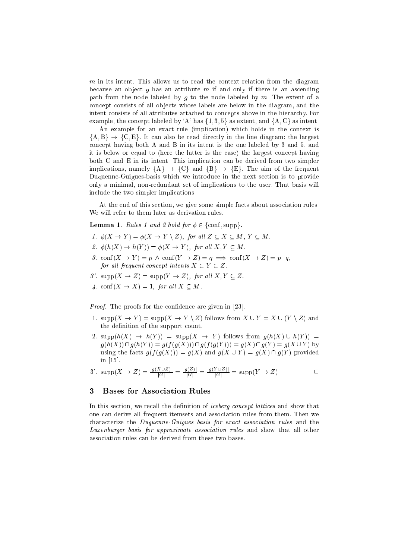m in its intent. This allows us to read the context relation from the diagram because an object q has an attribute  $m$  if and only if there is an ascending path from the node labeled by  $g$  to the node labeled by  $m$ . The extent of a concept consists of all objects whose labels are below in the diagram, and the intent consists of all attributes attached to concepts above in the hierarchy. For example, the concept labeled by 'A' has  $\{1, 3, 5\}$  as extent, and  $\{A, C\}$  as intent.

An example for an exact rule (implication) which holds in the context is  $\{A, B\} \rightarrow \{C, E\}$ . It can also be read directly in the line diagram: the largest on
ept having both A and B in its intent is the one labeled by 3 and 5, and it is below or equal to (here the latter is the case) the largest concept having both C and E in its intent. This impli
ation an be derived from two simpler implications, namely  ${A} \rightarrow {C}$  and  ${B} \rightarrow {E}$ . The aim of the frequent Duquenne-Guigues-basis which we introduce in the next section is to provide only a minimal, non-redundant set of implications to the user. That basis will in
lude the two simpler impli
ations.

At the end of this section, we give some simple facts about association rules. We will refer to them later as derivation rules.

**Lemma 1.** Rules 1 and 2 hold for  $\phi \in \{\text{conf}, \text{supp}\}.$ 

- 1.  $\phi(X \to Y) = \phi(X \to Y \setminus Z)$ , for all  $Z \subseteq X \subseteq M$ ,  $Y \subseteq M$ .
- 2.  $\phi(h(X) \to h(Y)) = \phi(X \to Y)$ , for all  $X, Y \subset M$ .
- 3.  $\text{conf}(X \to Y) = p \land \text{conf}(Y \to Z) = q \implies \text{conf}(X \to Z) = p \cdot q$ , for all frequent concept intents  $X \subset Y \subset Z$ .
- 3'.  $\text{supp}(X \to Z) = \text{supp}(Y \to Z)$ , for all  $X, Y \subseteq Z$ .
- 4.  $\operatorname{conf}(X \to X) = 1$ , for all  $X \subset M$ .

Proof. The proofs for the confidence are given in [23].

- 1.  $\text{supp}(X \to Y) = \text{supp}(X \to Y \setminus Z)$  follows from  $X \cup Y = X \cup (Y \setminus Z)$  and the definition of the support count.
- 2.  $\text{supp}(h(X) \to h(Y)) = \text{supp}(X \to Y)$  follows from  $g(h(X) \cup h(Y)) =$  $g(h(X)) \cap g(h(Y)) = g(f(g(X))) \cap g(f(g(Y))) = g(X) \cap g(Y) = g(X \cup Y)$  by using the facts  $g(f(g(X))) = g(X)$  and  $g(X \cup Y) = g(X) \cap g(Y)$  provided in  $[15]$ .

3'. 
$$
\text{supp}(X \to Z) = \frac{|g(X \cup Z)|}{|G|} = \frac{|g(Z)|}{|G|} = \frac{|g(Y \cup Z)|}{|G|} = \text{supp}(Y \to Z)
$$

#### 3 **Bases for Association Rules**

In this section, we recall the definition of *iceberg concept lattices* and show that one an derive all frequent itemsets and asso
iation rules from them. Then we characterize the *Duquenne-Guigues basis for exact association rules* and the Luxenburger basis for approximate asso
iation rules and show that all other asso
iation rules an be derived from these two bases.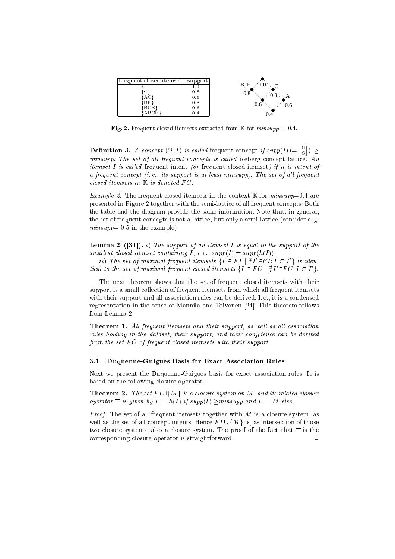

Fig. 2. Frequent closed itemsets extracted from K for  $minsupp = 0.4$ .

**Definition 3.** A concept  $(O, I)$  is called frequent concept if  $supp(I)$   $(=\frac{1}{|G|}) \ge$ minsupp. The set of all frequent concepts is called iceberg concept lattice. An *itemset I is called frequent intent (or frequent closed itemset) if it is intent of* a frequent concept  $(i. e., its support is at least minsupp).$  The set of all frequent closed itemsets in  $K$  is denoted FC.

*Example 2.* The frequent closed itemsets in the context  $\mathbb{K}$  for *minsupp*=0.4 are presented in Figure 2 together with the semi-lattice of all frequent concepts. Both the table and the diagram provide the same information. Note that, in general, the set of frequent concepts is not a lattice, but only a semi-lattice (consider e.g.  $minsupp= 0.5$  in the example).

**Lemma 2** ([31]). i) The support of an itemset I is equal to the support of the smallest closed itemset containing I, i.e.,  $supp(I) = supp(h(I)).$ 

 $\{i\}$  in the set of maximal frequent itemsets  $\{I\in I\mid \exists I\in I$  is  $I\subset I$   $\}$  is taen- $\emph{t}$ icai to the set of maximal frequent closed itemsets {1  $\in$  F  $\cup$  | p1  $\in$  F  $\cup$  : 1  $\subset$  1  $\}$ .

The next theorem shows that the set of frequent closed itemsets with their support is a small olle
tion of frequent itemsets from whi
h all frequent itemsets with their support and all association rules can be derived. I.e., it is a condensed representation in the sense of Mannila and Toivonen  $[24]$ . This theorem follows from Lemma 2.

**Theorem 1.** All frequent itemsets and their support, as well as all association rules holding in the dataset, their support, and their confidence can be derived from the set  $FC$  of frequent closed itemsets with their support.

#### $3.1$ Duquenne-Guigues Basis for Exact Association Rules

Next we present the Duquenne-Guigues basis for exact association rules. It is based on the following closure operator.

**Theorem 2.** The set  $FI\cup \{M\}$  is a closure system on M, and its related closure operator  $\overline{\phantom{x}}$  is given by  $\overline{I} := h(I)$  if supp $(I) \geq minsupp$  and  $\overline{I} := M$  else.

*Proof.* The set of all frequent itemsets together with  $M$  is a closure system, as well as the set of all concept intents. Hence  $FI\cup \{M\}$  is, as intersection of those two closure systems, also a closure system. The proof of the fact that  $\overline{\phantom{a}}$  is the orresponding losure operator is straightforward. <sup>2</sup> $\Box$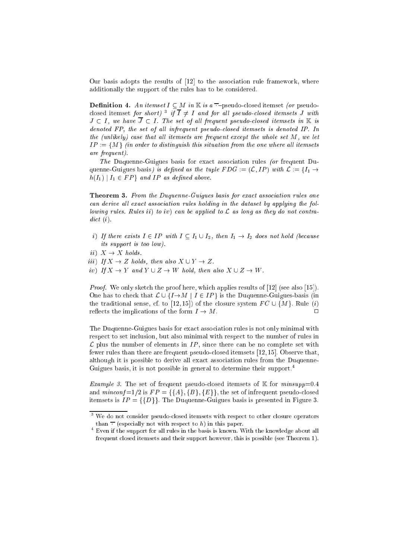Our basis adopts the results of  $[12]$  to the association rule framework, where additionally the support of the rules has to be onsidered.

**Definition 4.** An itemset  $I \subseteq M$  in  $\mathbb{K}$  is a  $\overline{\phantom{a}}$ -pseudo-closed itemset (or pseudoclosed itemset for short)  $^{\circ}$  U I  $\neq$  1 and for all pseudo-closed itemsets J with  $J \subset I$ , we have  $\overline{J} \subset I$ . The set of all frequent pseudo-closed itemsets in K is denoted FP, the set of all infrequent pseudo-closed itemsets is denoted IP. In the (unlikely) case that all itemsets are frequent except the whole set  $M$ , we let  $IP := \{M\}$  (in order to distinguish this situation from the one where all itemsets are frequent).

The Duquenne-Guigues basis for exa
t asso
iation rules (or frequent Duquenne-Guigues basis) is defined as the tuple  $FDG := (\mathcal{L}, IP)$  with  $\mathcal{L} := \{I_1 \rightarrow$  $h(I_1) | I_1 \in FP$  and IP as defined above.

**Theorem 3.** From the Duquenne-Guigues basis for exact association rules one can derive all exact association rules holding in the dataset by applying the following rules. Rules *ii*) to *iv*) can be applied to  $\mathcal L$  as long as they do not contra $dict(i).$ 

- i) If there exists  $I \in IP$  with  $I \subseteq I_1 \cup I_2$ , then  $I_1 \rightarrow I_2$  does not hold (because its support is too low).
- ii)  $X \to X$  holds.
- iii) If  $X \to Z$  holds, then also  $X \cup Y \to Z$ .
- iv) If  $X \to Y$  and  $Y \cup Z \to W$  hold, then also  $X \cup Z \to W$ .

*Proof.* We only sketch the proof here, which applies results of  $[12]$  (see also  $[15]$ ). One has to check that  $\mathcal{L} \cup \{I \rightarrow M \mid I \in IP\}$  is the Duquenne-Guigues-basis (in the traditional sense, cf. to [12, 15]) of the closure system  $FC \cup \{M\}$ . Rule (i) reflects the implications of the form  $I \to M$ .  $\Box$ 

The Duquenne-Guigues basis for exa
t asso
iation rules is not only minimal with respect to set inclusion, but also minimal with respect to the number of rules in L plus the number of elements in IP , sin
e there an be no omplete set with fewer rules than there are frequent pseudo-closed itemsets  $[12, 15]$ . Observe that, although it is possible to derive all exa
t asso
iation rules from the Duquenne-Guigues basis, it is not possible in general to determine their support.<sup>4</sup>

*Example 3.* The set of frequent pseudo-closed itemsets of K for  $minsupp=0.4$ and  $minconf=1/2$  is  $FP = \{\{A\}, \{B\}, \{E\}\}\$ , the set of infrequent pseudo-closed itemsets is  $IP = \{\{D\}\}\.$  The Duquenne-Guigues basis is presented in Figure 3.

t we do not consider pseudo-closed itemsets with respect to other closure operators  $\,$ than  $\overline{\phantom{a}}$  (especially not with respect to h) in this paper.

 $\,$  -Even if the support for all rules in the basis is known. With the knowledge about all frequent losed itemsets and their support however, this is possible (see Theorem 1).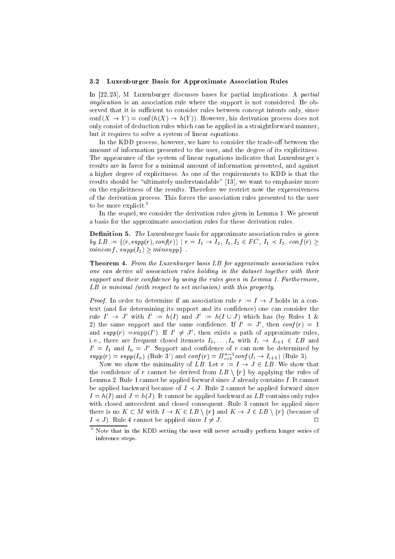### 3.2 Luxenburger Basis for Approximate Asso
iation Rules

In  $[22, 23]$ , M. Luxenburger discusses bases for partial implications. A *partial* implication is an association rule where the support is not considered. He observed that it is sufficient to consider rules between concept intents only, since  $\text{conf}(X \to Y) = \text{conf}(h(X) \to h(Y)).$  However, his derivation process does not only onsist of dedu
tion rules whi
h an be applied in a straightforward manner, but it requires to solve a system of linear equations.

In the KDD process, however, we have to consider the trade-off between the amount of information presented to the user, and the degree of its explicitness. The appearan
e of the system of linear equations indi
ates that Luxenburger's results are in favor for a minimal amount of information presented, and against a higher degree of explicitness. As one of the requirements to KDD is that the results should be "ultimately understandable" [13], we want to emphasize more on the explicitness of the results. Therefore we restrict now the expressiveness of the derivation pro
ess. This for
es the asso
iation rules presented to the user to be more explicit.<sup>5</sup>

In the sequel, we consider the derivation rules given in Lemma 1. We present a basis for the approximate asso
iation rules for these derivation rules.

**Definition 5.** The Luxenburger basis for approximate association rules is given by  $LB := \{(r, \text{supp}(r), \text{conf}(r)) \mid r = I_1 \rightarrow I_2, I_1, I_2 \in FC, I_1 \prec I_2, \text{conf}(r) \geq I_1\}$ minconf,  $supp(I_2) \geq minsupp$ .

**Theorem 4.** From the Luxenburger basis LB for approximate association rules one can derive all association rules holding in the dataset together with their support and their confidence by using the rules given in Lemma 1. Furthermore, LB is minimal (with respect to set inclusion) with this property.

*Proof.* In order to determine if an association rule  $r := I \rightarrow J$  holds in a context (and for determining its support and its confidence) one can consider the rule  $I \rightarrow J$  with  $I := n(I)$  and  $J := n(I \cup J)$  which has (by Rules 1  $\&$  $\Delta$ ) the same support and the same confidence. If  $I_1 = J$ , then  $\mathit{conj}(T) = 1$ and  $supp(r) = supp(1)$ . If  $1 \neq J$ , then exists a path of approximate rules, i.e., there are frequent closed itemsets  $I_1, \ldots, I_n$  with  $I_i \rightarrow I_{i+1} \in LB$  and  $I = I_1$  and  $I_n = J$  . Support and connuence of r can now be determined by  $supp(r) = supp(I_n)$  (Rule 3') and  $conf(r) = \prod_{i=1}^{n-1} conf(I_i \rightarrow I_{i+1})$  (Rule 3).

Now we show the minimality of LB. Let  $r := I \rightarrow J \in LB$ . We show that the confidence of r cannot be derived from  $LB \setminus \{r\}$  by applying the rules of Lemma 2. Rule 1 cannot be applied forward since  $J$  already contains  $I$ . It cannot be applied backward because of  $I \prec J$ . Rule 2 cannot be applied forward since  $I = h(I)$  and  $J = h(J)$ . It cannot be applied backward as LB contains only rules with closed antecedent and closed consequent. Rule 3 cannot be applied since there is no  $K \subset M$  with  $I \to K \in LB \setminus \{r\}$  and  $K \to J \in LB \setminus \{r\}$  (because of  $I \prec J$ ). Rule 4 cannot be applied since  $I \neq J$ .  $\Box$ 

that in the KDD setting the user will never actually perform longer series of inferen
e steps.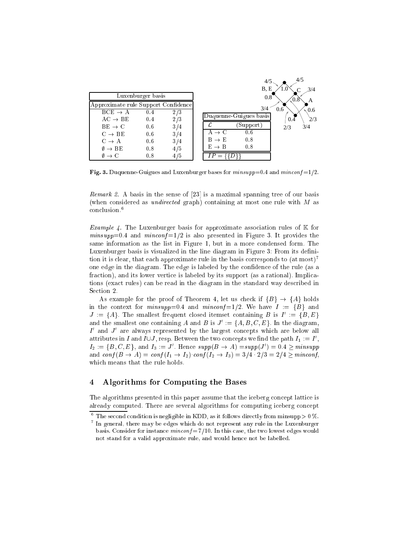

Fig. 3. Duquenne-Guigues and Luxenburger bases for  $minsupp=0.4$  and  $minconf=1/2$ .

Remark 2. A basis in the sense of  $[23]$  is a maximal spanning tree of our basis (when considered as *undirected* graph) containing at most one rule with  $M$  as on
lusion.<sup>6</sup>

*Example 4.* The Luxenburger basis for approximate association rules of  $K$  for  $minsupp=0.4$  and  $minconf=1/2$  is also presented in Figure 3. It provides the same information as the list in Figure 1, but in a more condensed form. The Luxenburger basis is visualized in the line diagram in Figure 3: From its denition it is clear, that each approximate rule in the basis corresponds to  $(at \text{ most})^7$ one edge in the diagram. The edge is labeled by the confidence of the rule (as a fraction), and its lower vertice is labeled by its support (as a rational). Implications (exa
t rules) an be read in the diagram in the standard way des
ribed in Section 2.

As example for the proof of Theorem 4, let us check if  ${B} \rightarrow {A}$  holds in the context for  $minsupp=0.4$  and  $minconf=1/2$ . We have  $I := {B}$  and  $J := \{A\}$ . The smallest frequent closed itemset containing B is  $I^- := \{B, E\}$ and the smallest one containing A and B is  $J^- := \{A, D, C, E\}$ . In the diagram,  $\scriptstyle\rm I$  and  $\scriptstyle\rm J$  are always represented by the largest concepts which are below all attributes in 1 and 10J, resp. Between the two concepts we find the path  $I_1 := I$  ,  $I_2 := \{B, C, E\}$ , and  $I_3 := J$  . Hence  $supp(B \to A) = supp(J) = 0.4$  > minsupp and  $\text{conf}(B \to A) = \text{conf}(I_1 \to I_2) \text{ conf}(I_2 \to I_3) = 3/4 \cdot 2/3 = 2/4 \geq \text{minconf},$ which means that the rule holds.

#### $\overline{\mathbf{4}}$ 4 Algorithms for Computing the Bases

The algorithms presented in this paper assume that the iceberg concept lattice is already computed. There are several algorithms for computing iceberg concept

 $\top$  The second condition is negligible in KDD, as it follows directly from minsupp  $>0$  %. . In general, there may be edges which do not represent any rule in the Luxenburger basis. Consider for instance  $minconf = 7/10$ . In this case, the two lowest edges would

not stand for a valid approximate rule, and would hen
e not be labelled.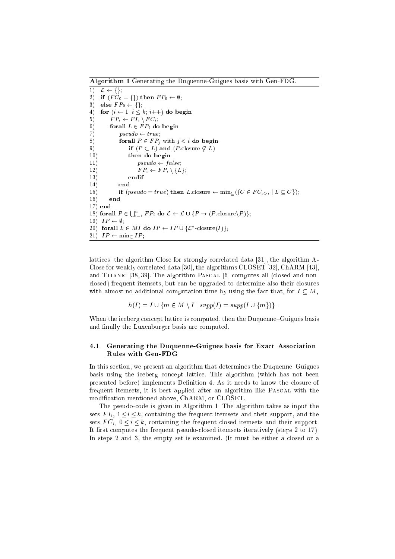Algorithm 1 Generating the Duquenne-Guigues basis with Gen-FDG.

 $\overline{1)}$   $\mathcal{L} \leftarrow \{\},\$ 2) if  $(FC_0 = \{\})$  then  $FP_0 \leftarrow \emptyset;$ 3) else  $FP_0 \leftarrow \{\};$ 4) for  $(i \leftarrow 1; i \leq k; i++)$  do begin 5)  $FP_i \leftarrow FI_i \setminus FC_i;$ 6) for all  $L \in FP_i$  do begin 7)  $pseudo \leftarrow true;$ 8) for all  $P \in FP_j$  with  $j < i$  do begin 9) if  $(P \subset L)$  and  $(P \text{ closure } \not\subseteq L)$ 10) then do begin 11)  $pseudo \leftarrow false;$ 12)  $FP_i \leftarrow FP_i \setminus \{L\};$ endif 13) endif 14) end 15) if  $(pseudo = true)$  then L.closure  $\leftarrow \min_{C} (\{C \in FC_{j>i} \mid L \subseteq C\})$ ;  $16)$ end 17) end 18) for all  $P \in \bigcup_{i=1}^n FP_i$  do  $\mathcal{L} \leftarrow \mathcal{L} \cup \{P \rightarrow (P.\text{closure}\backslash P)\};$ 19)  $IP \leftarrow \emptyset$ ; 20) for all  $L \in M I$  do  $IP \leftarrow IP \cup \{L$  -closure(1)  $\}$ ; 21)  $IP \leftarrow \min_{\subset} IP;$ 

lattices: the algorithm Close for strongly correlated data [31], the algorithm A-Close for weakly correlated data [30], the algorithms  $CLOSET$  [32],  $ChARM$  [43], and TITANIC [38, 39]. The algorithm PASCAL  $[6]$  computes all (closed and nonclosed) frequent itemsets, but can be upgraded to determine also their closures with almost no additional computation time by using the fact that, for  $I \subseteq M$ ,

$$
h(I) = I \cup \{ m \in M \setminus I \mid supp(I) = supp(I \cup \{ m \}) \} .
$$

When the iceberg concept lattice is computed, then the Duquenne-Guigues basis and finally the Luxenburger basis are computed.

### 4.1 Generating the Duquenne-Guigues basis for Exa
t Asso
iation Rules with Gen-FDG

In this section, we present an algorithm that determines the Duquenne-Guigues basis using the i
eberg on
ept latti
e. This algorithm (whi
h has not been presented before) implements Definition 4. As it needs to know the closure of frequent itemsets, it is best applied after an algorithm like PASCAL with the modification mentioned above, ChARM, or CLOSET.

The pseudoode is given in Algorithm 1. The algorithm takes as input the sets F II – i i ditterment itemsets and the frequent itemsets and the frequent items of the frequent items sets F Ci o i i k, sets and the frequent itemsets and the frequent  $\sim$ It first computes the frequent pseudo-closed itemsets iteratively (steps 2 to 17). In steps 2 and 3, the empty set is examined. (It must be either a closed or a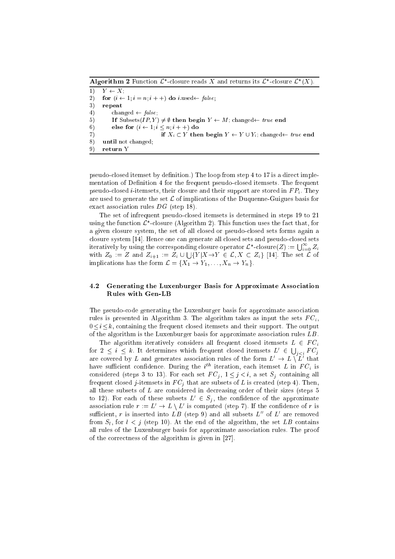**Algorithm 2** Function  $L$  -closure reads  $\Lambda$  and returns its  $L$  -closure  $L$  ( $\Lambda$ ).  $1)$   $Y \leftarrow X;$ 2) for  $(i \leftarrow 1; i = n; i++)$  do *i*.used  $\leftarrow$  false; 3) repeat 4) changed  $\leftarrow false;$ 5) If Subsets $(IP, Y) \neq \emptyset$  then begin  $Y \leftarrow M$ ; changed $\leftarrow true$  end 6) else for  $(i \leftarrow 1; i \leq n; i + +)$  do 7) if  $X_i \subset Y$  then begin  $Y \leftarrow Y \cup Y_i$ ; changed  $\leftarrow true$  end 8) until not hanged; 9) return Y

pseudo-closed itemset by definition.) The loop from step 4 to 17 is a direct implementation of Definition 4 for the frequent pseudo-closed itemsets. The frequent pseudolosed i-itemsets, their losure and their support are stored in F Pi . They are used to generate the set  $\mathcal L$  of implications of the Duquenne-Guigues basis for exact association rules DG (step 18).

The set of infrequent pseudolosed itemsets is determined in steps 19 to 21 using the function  $\mathcal{L}$  -closure (Algorithm 2). This function uses the fact that, for a given losure system, the set of all losed or pseudolosed sets forms again a closure system [14]. Hence one can generate all closed sets and pseudo-closed sets iteratively by using the corresponding closure operator  $\mathcal{L}^*$ -closure $(Z) := \bigcup_{i=0}^\infty Z_i$ with  $Z_0 := Z$  and  $Z_{i+1} := Z_i \cup \bigcup \{Y|X \rightarrow Y \in \mathcal{L}, X \subset Z_i\}$  [14]. The set  $\mathcal L$  of implications has the form  $\mathcal{L} = \{X_1 \to Y_1, \ldots, X_n \to Y_n\}.$ 

### 4.2 Generating the Luxenburger Basis for Approximate Asso
iation Rules with Gen-LB

The pseudo-code generating the Luxenburger basis for approximate association rules is presented in Algorithm 3. The algorithm takes as input the sets F Ci , ,  $0 \leq i \leq k$ , containing the frequent closed itemsets and their support. The output of the algorithm is the Luxenburger basis for approximate association rules LB.

The algorithm iteratively considers all frequent closed itemsets  $L \in FC_i$ for  $2 \leq i \leq k$ . It determines which frequent closed itemsets  $L' \in \Box$  $\iota$   $\iota$   $\iota$   $\iota$   $\iota$ are covered by  $L$  and generates association rules of the form  $L\ \rightarrow L\ \setminus L\$  that nave sumclent connuence. During the  $i^{\ldots}$  iteration, each itemset L in  $r \cup_i$  is onsidered (steps 3 to 13). For each  $\mathcal{N}$  is the set  $\mathcal{N}$ frequent losed j-itemsets in F Cj that are subsets of <sup>L</sup> is reated (step 4). Then, all these subsets of  $L$  are considered in decreasing order of their sizes (steps  $5$ to 12). For each of these subsets  $L \in S_i$ , the confluence of the approximate association rule  $r := L \rightarrow L \setminus L$  is computed (step 7). If the comidence of r is sumcient,  $r$  is inserted into  $L B$  (step 9) and all subsets  $L$  of  $L$  are removed for  $\mathcal{S}_i$  , for  $i$  ,  $j$  ,  $i$  ,  $j$  ,  $j$  ,  $j$  ,  $j$  ,  $j$  ,  $j$  ,  $j$  ,  $i$  ,  $j$  ,  $j$  ,  $j$  ,  $j$  ,  $j$  ,  $j$  ,  $j$  ,  $j$  ,  $j$  ,  $j$  ,  $j$  ,  $j$  ,  $j$  ,  $j$  ,  $j$  ,  $j$  ,  $j$  ,  $j$  ,  $j$  ,  $j$  ,  $j$  ,  $j$  ,  $j$ all rules of the Luxenburger basis for approximate asso
iation rules. The proof of the correctness of the algorithm is given in  $[27]$ .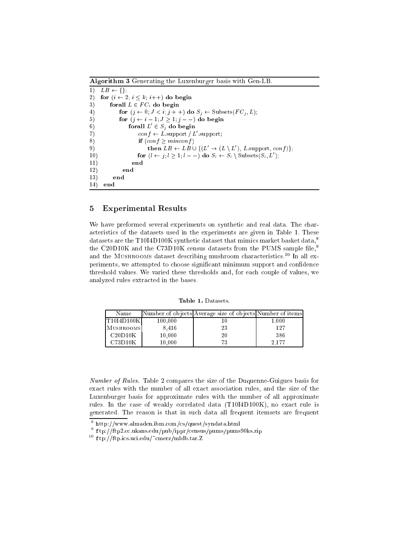| Algorithm 3 Generating the Luxenburger basis with Gen-LB. |                                                                                                    |  |  |
|-----------------------------------------------------------|----------------------------------------------------------------------------------------------------|--|--|
| 1)                                                        | $LB \leftarrow \{\}.$                                                                              |  |  |
| 2)                                                        | for $(i \leftarrow 2; i \leq k; i++)$ do begin                                                     |  |  |
| 3)                                                        | forall $L \in FC_i$ do begin                                                                       |  |  |
| 4)                                                        | for $(j \leftarrow 0; J \leftarrow i; j++)$ do $S_j \leftarrow$ Subsets $(FC_j, L);$               |  |  |
| 5)                                                        | for $(j \leftarrow i-1; J \geq 1; j \geq -1)$ do begin                                             |  |  |
| 6)                                                        | forall $L' \in S_i$ do begin                                                                       |  |  |
| 7)                                                        | $conf \leftarrow L$ support / L' support;                                                          |  |  |
| 8)                                                        | if (conf > minconf)                                                                                |  |  |
| 9)                                                        | then $LB \leftarrow LB \cup \{(L' \rightarrow (L \setminus L'), L.\text{support}, conf)\};$        |  |  |
| 10)                                                       | for $(l \leftarrow j; l \geq 1; l --)$ do $S_l \leftarrow S_l \setminus \text{Subsets}(S_l, L')$ ; |  |  |
| 11)                                                       | end                                                                                                |  |  |
| 12)                                                       | end                                                                                                |  |  |
| 13)                                                       | end                                                                                                |  |  |
| 14)                                                       | end                                                                                                |  |  |

#### $\overline{5}$ 5 Experimental Results

We have preformed several experiments on synthetic and real data. The chara
teristi
s of the datasets used in the experiments are given in Table 1. These datasets are the T10I4D100K synthetic dataset that mimics market basket data,<sup>8</sup> the C20D10K and the C73D10K census datasets from the PUMS sample file,<sup>9</sup> and the MUSHROOMS dataset describing mushroom characteristics.<sup>10</sup> In all experiments, we attempted to choose significant minimum support and confidence threshold values. We varied these thresholds and, for each couple of values, we analyzed rules extra
ted in the bases.

Table 1. Datasets.

| Name         |         | Number of objects Average size of objects Number of items |       |
|--------------|---------|-----------------------------------------------------------|-------|
| [T10I4D100K] | 100,000 |                                                           | 1.000 |
| MUSHROOMS    | 8.416   | 23                                                        | 127   |
| C20D10K      | 10.000  | 20                                                        | 386   |
| C73D10K      | 10.000  | 73                                                        | 2.177 |

Number of Rules. Table 2 compares the size of the Duquenne-Guigues basis for exa
t rules with the number of all exa
t asso
iation rules, and the size of the Luxenburger basis for approximate rules with the number of all approximate rules. In the case of weakly correlated data (T10I4D100K), no exact rule is generated. The reason is that in su
h data all frequent itemsets are frequent

<sup>8</sup> http://www.almaden.ibm.
om/
s/quest/syndata.html

<sup>.</sup> ftp://itp2.cc.ukans.edu/pub/ippr/census/pums/pums90ks.zip

 $\sim$  10.770.000 ftp.ics.uci.edu/~cmerz/mldb.tar.Z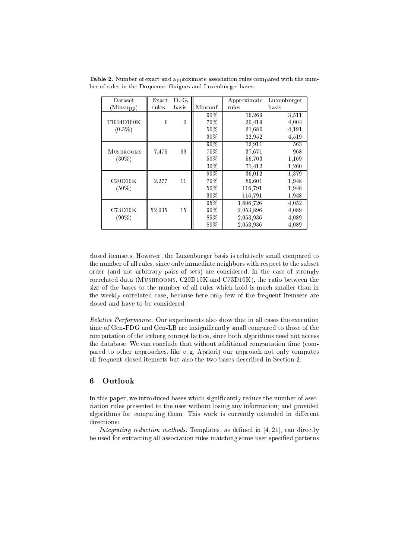| Dataset          | Exact    | DG.      |         | Approximate | Luxenburger |
|------------------|----------|----------|---------|-------------|-------------|
| (Minsupp)        | rules    | basis    | Minconf | rules       | basis       |
|                  |          |          | $90\%$  | 16,269      | 3.511       |
| T10I4D100K       | $\theta$ | $\theta$ | 70%     | 20,419      | 4,004       |
| $(0.5\%)$        |          |          | $50\%$  | 21,686      | 4,191       |
|                  |          |          | 30%     | 22,952      | 4,519       |
|                  |          |          | $90\%$  | 12,911      | 563         |
| <b>MUSHROOMS</b> | 7,476    | 69       | 70%     | 37,671      | 968         |
| $(30\%)$         |          |          | $50\%$  | 56,703      | 1,169       |
|                  |          |          | 30%     | 71,412      | 1,260       |
|                  |          |          | $90\%$  | 36.012      | 1,379       |
| C20D10K          | 2,277    | 11       | 70%     | 89.601      | 1,948       |
| $(50\%)$         |          |          | $50\%$  | 116,791     | 1,948       |
|                  |          |          | 30%     | 116,791     | 1,948       |
|                  |          |          | 95%     | 1,606,726   | 4,052       |
| C73D10K          | 52,035   | 15       | $90\%$  | 2,053,896   | 4,089       |
| $(90\%)$         |          |          | 85%     | 2,053,936   | 4,089       |
|                  |          |          | 80%     | 2,053,936   | 4,089       |

Table 2. Number of exact and approximate association rules compared with the number of rules in the Duquenne-Guigues and Luxenburger bases.

closed itemsets. However, the Luxenburger basis is relatively small compared to the number of all rules, since only immediate neighbors with respect to the subset order (and not arbitrary pairs of sets) are onsidered. In the ase of strongly orrelated data (Mushrooms, C20D10K and C73D10K), the ratio between the size of the bases to the number of all rules whi
h hold is mu
h smaller than in the weekly orrelated ase, be
ause here only few of the frequent itemsets are closed and have to be considered.

Relative Performance. Our experiments also show that in all cases the execution time of Gen-FDG and Gen-LB are insignificantly small compared to those of the computation of the iceberg concept lattice, since both algorithms need not access the database. We can conclude that without additional computation time (compared to other approaches, like e.g. Apriori) our approach not only computes all frequent closed itemsets but also the two bases described in Section 2.

## 6 Outlook

In this paper, we introduced bases which significantly reduce the number of assoiation rules presented to the user without losing any information; and provided algorithms for computing them. This work is currently extended in different directions:

Integrating reduction methods. Templates, as defined in  $[4, 21]$ , can directly be used for extracting all association rules matching some user specified patterns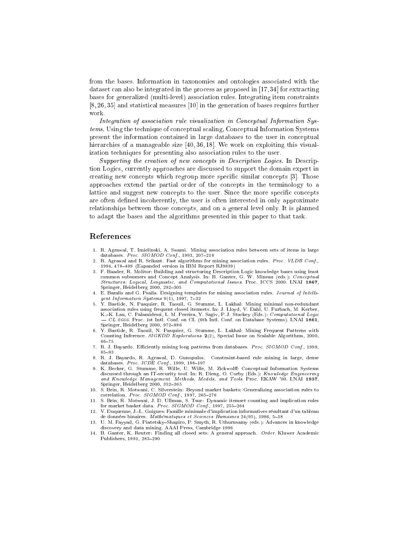from the bases. Information in taxonomies and ontologies asso
iated with the dataset can also be integrated in the process as proposed in  $[17, 34]$  for extracting bases for generalized (multi-level) asso
iation rules. Integrating item onstraints  $[8, 26, 35]$  and statistical measures  $[10]$  in the generation of bases requires further work.

Integration of association rule visualization in Conceptual Information Systems. Using the technique of conceptual scaling, Conceptual Information Systems present the information ontained in large databases to the user in on
eptual hierarchies of a manageable size  $[40, 36, 18]$ . We work on exploiting this visualization te
hniques for presenting also asso
iation rules to the user.

Supporting the creation of new concepts in Description Logics. In Description Logi
s, urrently approa
hes are dis
ussed to support the domain expert in creating new concepts which regroup more specific similar concepts [3]. Those approa
hes extend the partial order of the on
epts in the terminology to a lattice and suggest new concepts to the user. Since the more specific concepts are often defined incoherently, the user is often interested in only approximate relationships between those concepts, and on a general level only. It is planned to adapt the bases and the algorithms presented in this paper to that task.

### Referen
es

- databases. *Proc. SIGMOD Conf.*, 1993, 207-216
- $\mathcal{D}$ R. Agrawal and R. Srikant. Fast algorithms for mining association rules. Proc. VLDB Conf., 1994, 478-499 (Expanded version in IBM Report RJ9839)
- 3. F. Baader, R. Molitor: Building and structuring Description Logic knowledge bases using least  $Structures: Logical, Linguistic, and Computational Issues. Proc. ICCS 2000. LNAI 1867,$ Springer, Heidelberg 2000, 292-305
- $gent Information Systems 9(1), 1997, 7-32$
- 5. Y. Bastide, N. Pasquier, R. Taouil, G. Stumme, L. Lakhal: Mining minimal non-redundant asso
iation rules using frequent losed itemsets. In: J. Lloyd, V. Dahl, U. Furba
h, M. Kerber, K.-K. Lau, C. Palamidessi, L. M. Pereira, Y. Sagiv, P. J. Stuckey (Eds.): Computational Logic - CL 2000. Proc. 1st Intl. Conf. on CL (6th Intl. Conf. on Database Systems). LNAI 1861, Springer, Heidelberg 2000, 972-986
- 6. Y. Bastide, R. Taouil, N. Pasquier, G. Stumme, L. Lakhal: Mining Frequent Patterns with Counting Inferen
e. SIGKDD Explorations 2(2), Spe
ial Issue on S
alable Algorithms, 2000, 66-75
- 7. R. J. Bayardo. Efficiently mining long patterns from databases. *Proc. SIGMOD Conf.*, 1998. 7. R. J. Bayardo. EÆ
iently mining long patterns from databases. Pro
. SIGMOD Conf., 1998, 85-93
- 8. R. J. Bayardo, R. Agrawal, D. Gunopulos. Constraint-based rule mining in large, dense databases. Proc.  $ICDE$  Conf., 1999, 188-197
- 9. K. Becker, G. Stumme, R. Wille, U. Wille, M. Zickwolff: Conceptual Information Systems discussed through an IT-security tool. In: R. Dieng, O. Corby (Eds.): Knowledge Engineering and Knowledge Management. Methods, Models, and Tools. Pro
. EKAW '00. LNAI 1937, Springer, Heidelberg  $2000$ ,  $352-365$
- 10. S. Brin, R. Motwani, C. Silverstein: Beyond market baskets: Generalizing asso
iation rules to correlation. Proc.  $SIGMOD$  Conf., 1997, 265-276
- 11. S. Brin, R. Motwani, J. D. Ullman, S. Tsur: Dynami itemset ounting and impli
ation rules for market basket data. Proc. SIGMOD Conf., 1997, 255-264
- 12. V. Duquenne, J.-L. Guigues: Famille minimale d'impli
ation informatives resultant d'un tableau de données binaires. Mathématiques et Sciences Humaines 24(95), 1986, 5-18
- 13. U. M. Fayyad, G. Piatetsky-Shapiro, P. Smyth, R. Uthurusamy (eds.): Advances in knowledge dis
overy and data mining. AAAI Press, Cambridge 1996
- 14. B. Ganter, K. Reuter: Finding all closed sets: A general approach. Order. Kluwer Academic Publishers, 1991, 283-290